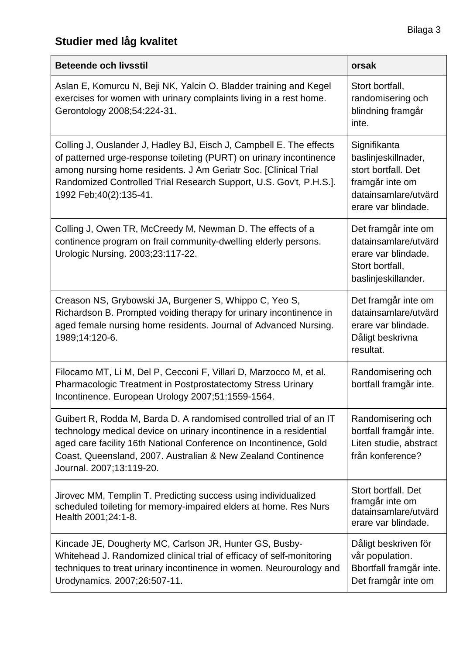## **Studier med låg kvalitet**

| <b>Beteende och livsstil</b>                                                                                                                                                                                                                                                                                    | orsak                                                                                                                        |
|-----------------------------------------------------------------------------------------------------------------------------------------------------------------------------------------------------------------------------------------------------------------------------------------------------------------|------------------------------------------------------------------------------------------------------------------------------|
| Aslan E, Komurcu N, Beji NK, Yalcin O. Bladder training and Kegel<br>exercises for women with urinary complaints living in a rest home.<br>Gerontology 2008;54:224-31.                                                                                                                                          | Stort bortfall,<br>randomisering och<br>blindning framgår<br>inte.                                                           |
| Colling J, Ouslander J, Hadley BJ, Eisch J, Campbell E. The effects<br>of patterned urge-response toileting (PURT) on urinary incontinence<br>among nursing home residents. J Am Geriatr Soc. [Clinical Trial<br>Randomized Controlled Trial Research Support, U.S. Gov't, P.H.S.].<br>1992 Feb; 40(2): 135-41. | Signifikanta<br>baslinjeskillnader,<br>stort bortfall. Det<br>framgår inte om<br>datainsamlare/utvärd<br>erare var blindade. |
| Colling J, Owen TR, McCreedy M, Newman D. The effects of a<br>continence program on frail community-dwelling elderly persons.<br>Urologic Nursing. 2003;23:117-22.                                                                                                                                              | Det framgår inte om<br>datainsamlare/utvärd<br>erare var blindade.<br>Stort bortfall,<br>baslinjeskillander.                 |
| Creason NS, Grybowski JA, Burgener S, Whippo C, Yeo S,<br>Richardson B. Prompted voiding therapy for urinary incontinence in<br>aged female nursing home residents. Journal of Advanced Nursing.<br>1989;14:120-6.                                                                                              | Det framgår inte om<br>datainsamlare/utvärd<br>erare var blindade.<br>Dåligt beskrivna<br>resultat.                          |
| Filocamo MT, Li M, Del P, Cecconi F, Villari D, Marzocco M, et al.<br>Pharmacologic Treatment in Postprostatectomy Stress Urinary<br>Incontinence. European Urology 2007;51:1559-1564.                                                                                                                          | Randomisering och<br>bortfall framgår inte.                                                                                  |
| Guibert R, Rodda M, Barda D. A randomised controlled trial of an IT<br>technology medical device on urinary incontinence in a residential<br>aged care facility 16th National Conference on Incontinence, Gold<br>Coast, Queensland, 2007. Australian & New Zealand Continence<br>Journal. 2007;13:119-20.      | Randomisering och<br>bortfall framgår inte.<br>Liten studie, abstract<br>från konference?                                    |
| Jirovec MM, Templin T. Predicting success using individualized<br>scheduled toileting for memory-impaired elders at home. Res Nurs<br>Health 2001;24:1-8.                                                                                                                                                       | Stort bortfall, Det<br>framgår inte om<br>datainsamlare/utvärd<br>erare var blindade.                                        |
| Kincade JE, Dougherty MC, Carlson JR, Hunter GS, Busby-<br>Whitehead J. Randomized clinical trial of efficacy of self-monitoring<br>techniques to treat urinary incontinence in women. Neurourology and<br>Urodynamics. 2007;26:507-11.                                                                         | Dåligt beskriven för<br>vår population.<br>Bbortfall framgår inte.<br>Det framgår inte om                                    |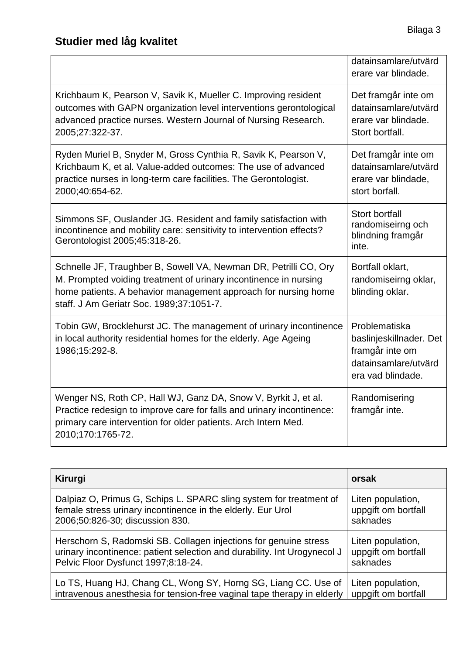|                                                                                                                                                                                                                                                    | datainsamlare/utvärd<br>erare var blindade.                                                              |
|----------------------------------------------------------------------------------------------------------------------------------------------------------------------------------------------------------------------------------------------------|----------------------------------------------------------------------------------------------------------|
| Krichbaum K, Pearson V, Savik K, Mueller C. Improving resident<br>outcomes with GAPN organization level interventions gerontological<br>advanced practice nurses. Western Journal of Nursing Research.<br>2005;27:322-37.                          | Det framgår inte om<br>datainsamlare/utvärd<br>erare var blindade.<br>Stort bortfall.                    |
| Ryden Muriel B, Snyder M, Gross Cynthia R, Savik K, Pearson V,<br>Krichbaum K, et al. Value-added outcomes: The use of advanced<br>practice nurses in long-term care facilities. The Gerontologist.<br>2000;40:654-62.                             | Det framgår inte om<br>datainsamlare/utvärd<br>erare var blindade,<br>stort borfall.                     |
| Simmons SF, Ouslander JG. Resident and family satisfaction with<br>incontinence and mobility care: sensitivity to intervention effects?<br>Gerontologist 2005;45:318-26.                                                                           | <b>Stort bortfall</b><br>randomiseirng och<br>blindning framgår<br>inte.                                 |
| Schnelle JF, Traughber B, Sowell VA, Newman DR, Petrilli CO, Ory<br>M. Prompted voiding treatment of urinary incontinence in nursing<br>home patients. A behavior management approach for nursing home<br>staff. J Am Geriatr Soc. 1989;37:1051-7. | Bortfall oklart,<br>randomiseirng oklar,<br>blinding oklar.                                              |
| Tobin GW, Brocklehurst JC. The management of urinary incontinence<br>in local authority residential homes for the elderly. Age Ageing<br>1986;15:292-8.                                                                                            | Problematiska<br>baslinjeskillnader. Det<br>framgår inte om<br>datainsamlare/utvärd<br>era vad blindade. |
| Wenger NS, Roth CP, Hall WJ, Ganz DA, Snow V, Byrkit J, et al.<br>Practice redesign to improve care for falls and urinary incontinence:<br>primary care intervention for older patients. Arch Intern Med.<br>2010;170:1765-72.                     | Randomisering<br>framgår inte.                                                                           |

| <b>Kirurgi</b>                                                           | orsak               |
|--------------------------------------------------------------------------|---------------------|
| Dalpiaz O, Primus G, Schips L. SPARC sling system for treatment of       | Liten population,   |
| female stress urinary incontinence in the elderly. Eur Urol              | uppgift om bortfall |
| 2006;50:826-30; discussion 830.                                          | saknades            |
| Herschorn S, Radomski SB. Collagen injections for genuine stress         | Liten population,   |
| urinary incontinence: patient selection and durability. Int Urogynecol J | uppgift om bortfall |
| Pelvic Floor Dysfunct 1997;8:18-24.                                      | saknades            |
| Lo TS, Huang HJ, Chang CL, Wong SY, Horng SG, Liang CC. Use of           | Liten population,   |
| intravenous anesthesia for tension-free vaginal tape therapy in elderly  | uppgift om bortfall |